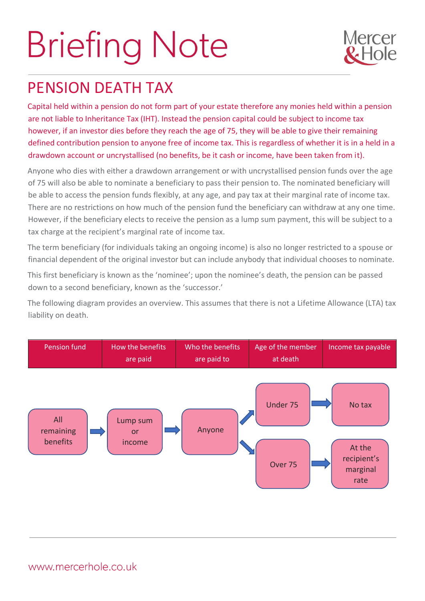## **Briefing Note**



## PENSION DEATH TAX

Capital held within a pension do not form part of your estate therefore any monies held within a pension are not liable to Inheritance Tax (IHT). Instead the pension capital could be subject to income tax however, if an investor dies before they reach the age of 75, they will be able to give their remaining defined contribution pension to anyone free of income tax. This is regardless of whether it is in a held in a drawdown account or uncrystallised (no benefits, be it cash or income, have been taken from it).

Anyone who dies with either a drawdown arrangement or with uncrystallised pension funds over the age of 75 will also be able to nominate a beneficiary to pass their pension to. The nominated beneficiary will be able to access the pension funds flexibly, at any age, and pay tax at their marginal rate of income tax. There are no restrictions on how much of the pension fund the beneficiary can withdraw at any one time. However, if the beneficiary elects to receive the pension as a lump sum payment, this will be subject to a tax charge at the recipient's marginal rate of income tax.

The term beneficiary (for individuals taking an ongoing income) is also no longer restricted to a spouse or financial dependent of the original investor but can include anybody that individual chooses to nominate.

This first beneficiary is known as the 'nominee'; upon the nominee's death, the pension can be passed down to a second beneficiary, known as the 'successor.'

The following diagram provides an overview. This assumes that there is not a Lifetime Allowance (LTA) tax liability on death.